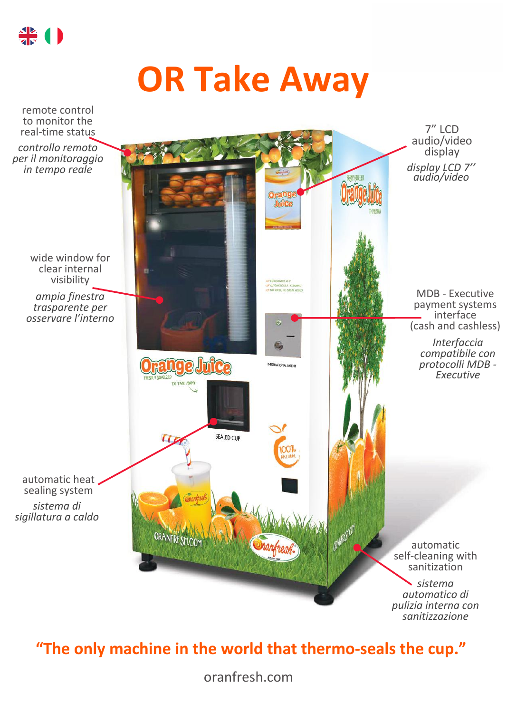

## **OR Take Away**



## **"The only machine in the world that thermo-seals the cup."**

oranfresh.com